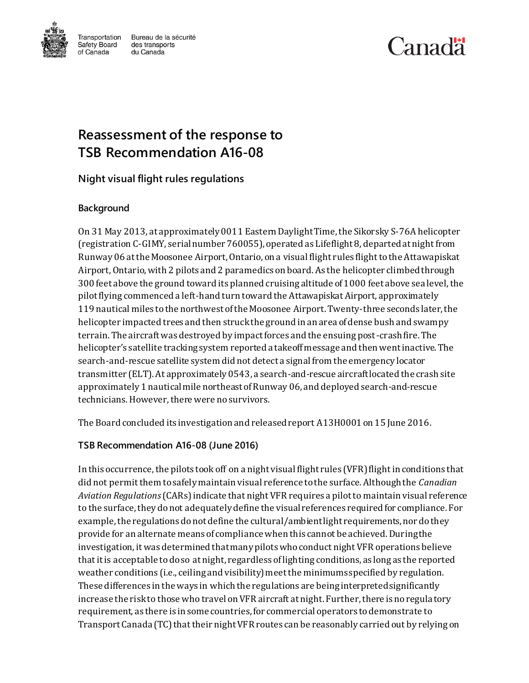

Transportation Bureau de la sécurité Safety Board des transports du Canada

# Canadä

# **Reassessment of the response to TSB Recommendation A16-08**

# **Night visual flight rules regulations**

#### **Background**

of Canada

On 31 May 2013, at approximately 0011 Eastern Daylight Time, the Sikorsky S-76A helicopter (registration C-GIMY, serial number 760055), operated as Lifeflight8, departed at night from Runway 06 at the Moosonee Airport, Ontario, on a visual flight rules flight to the Attawapiskat Airport, Ontario, with 2 pilots and 2 paramedics on board. As the helicopter climbed through 300 feet above the ground toward its planned cruising altitude of 1000 feet above sea level, the pilot flying commenced a left-hand turn toward the Attawapiskat Airport, approximately 119 nautical miles to the northwest of the Moosonee Airport. Twenty-three seconds later, the helicopter impacted trees and then struck the ground in an area of dense bush and swampy terrain. The aircraft was destroyed by impact forces and the ensuing post-crash fire. The helicopter's satellite tracking system reported a takeoff message and then went inactive. The search-and-rescue satellite system did not detect a signal from the emergency locator transmitter (ELT). At approximately 0543, a search-and-rescue aircraft located the crash site approximately 1 nautical mile northeast of Runway 06, and deployed search-and-rescue technicians. However, there were no survivors.

The Board concluded its investigation and released report A13H0001 on 15 June 2016.

#### **TSB Recommendation A16-08 (June 2016)**

In this occurrence, the pilots took off on a night visual flight rules (VFR) flight in conditions that did not permit them to safely maintain visual reference to the surface. Although the *Canadian Aviation Regulations*(CARs) indicate that night VFR requires a pilot to maintain visual reference to the surface, they do not adequately define the visual references required for compliance. For example, the regulations do not define the cultural/ambient light requirements, nor do they provide for an alternate means of compliance when this cannot be achieved. During the investigation, it was determined that many pilots who conduct night VFR operations believe that it is acceptable to do so at night, regardless of lighting conditions, as long as the reported weather conditions (i.e., ceiling and visibility) meet the minimums specified by regulation. These differences in the ways in which the regulations are being interpreted significantly increase the risk to those who travel on VFR aircraft at night. Further, there is no regulatory requirement, as there is in some countries, for commercial operators to demonstrate to Transport Canada (TC) that their night VFR routes can be reasonably carried out by relying on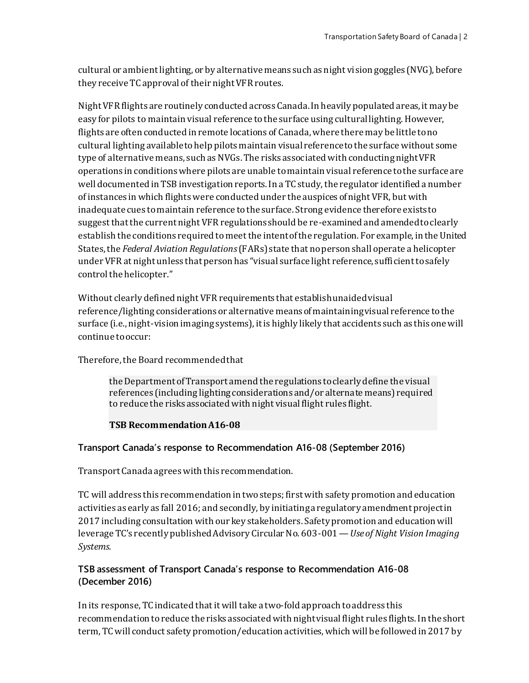cultural or ambient lighting, or by alternative means such as night vision goggles (NVG), before they receive TC approval of their night VFR routes.

Night VFR flights are routinely conducted across Canada. In heavily populated areas, it may be easy for pilots to maintain visual reference to the surface using cultural lighting. However, flights are often conducted in remote locations of Canada, where there may be little to no cultural lighting available to help pilots maintain visual reference to the surface without some type of alternative means, such as NVGs. The risks associated with conducting night VFR operations in conditions where pilots are unable to maintain visual reference to the surface are well documented in TSB investigation reports. In a TC study, the regulator identified a number of instances in which flights were conducted under the auspices of night VFR, but with inadequate cues to maintain reference to the surface. Strong evidence therefore exists to suggest that the current night VFR regulations should be re-examined and amended to clearly establish the conditions required to meet the intent of the regulation. For example, in the United States, the *Federal Aviation Regulations*(FARs) state that no person shall operate a helicopter under VFR at night unless that person has "visual surface light reference, sufficient to safely control the helicopter."

Without clearly defined night VFR requirements that establish unaided visual reference/lighting considerations or alternative means of maintaining visual reference to the surface (i.e., night-vision imaging systems), it is highly likely that accidents such as this one will continue to occur:

Therefore, the Board recommended that

the Department of Transport amend the regulations to clearly define the visual references (including lighting considerations and/or alternate means) required to reduce the risks associated with night visual flight rules flight.

**TSB RecommendationA16-08**

#### **Transport Canada's response to Recommendation A16-08 (September 2016)**

Transport Canada agrees with this recommendation.

TC will address this recommendation in two steps; first with safety promotion and education activities as early as fall 2016; and secondly, by initiating a regulatory amendment project in 2017 including consultation with our key stakeholders. Safety promotion and education will leverage TC's recently published Advisory Circular No. 603-001 —*Use of Night Vision Imaging Systems*.

# **TSB assessment of Transport Canada's response to Recommendation A16-08 (December 2016)**

In its response, TC indicated that it will take a two-fold approach to address this recommendation to reduce the risks associated with night visual flight rules flights. In the short term, TC will conduct safety promotion/education activities, which will be followed in 2017 by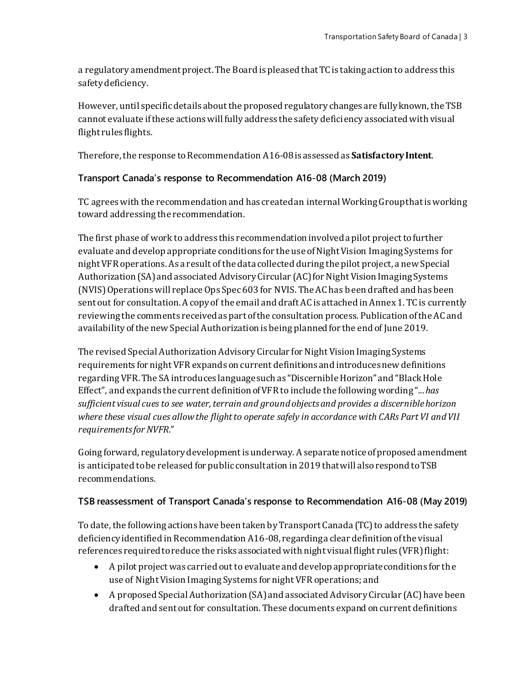a regulatory amendment project. The Board is pleased that TC is taking action to address this safety deficiency.

However, until specific details about the proposed regulatory changes are fully known, the TSB cannot evaluate if these actions will fully address the safety deficiency associated with visual flight rules flights.

Therefore, the response to Recommendation A16-08 is assessed as **Satisfactory Intent**.

#### **Transport Canada's response to Recommendation A16-08 (March 2019)**

TC agrees with the recommendation and has created an internal Working Group that is working toward addressing the recommendation.

The first phase of work to address this recommendation involved a pilot project to further evaluate and develop appropriate conditions for the use of Night Vision Imaging Systems for night VFR operations. As a result of the data collected during the pilot project, a new Special Authorization (SA) and associated Advisory Circular (AC) for Night Vision Imaging Systems (NVIS) Operations will replace Ops Spec 603 for NVIS. The AC has been drafted and has been sent out for consultation. A copy of the email and draft AC is attached in Annex 1. TC is currently reviewing the comments received as part of the consultation process. Publication of the AC and availability of the new Special Authorization is being planned for the end of June 2019.

The revised Special Authorization Advisory Circular for Night Vision Imaging Systems requirements for night VFR expands on current definitions and introduces new definitions regarding VFR. The SA introduces language such as "Discernible Horizon" and "Black Hole Effect", and expands the current definition of VFR to include the following wording "...*has sufficient visual cues to see water, terrain and ground objects and provides a discernible horizon where these visual cues allow the flight to operate safely in accordance with CARs Part VI and VII requirements for NVFR*."

Going forward, regulatory development is underway. A separate notice of proposed amendment is anticipated to be released for public consultation in 2019 that will also respond to TSB recommendations.

#### **TSB reassessment of Transport Canada's response to Recommendation A16-08 (May 2019)**

To date, the following actions have been taken by Transport Canada (TC) to address the safety deficiency identified in Recommendation A16-08, regarding a clear definition of the visual references required to reduce the risks associated with night visual flight rules (VFR) flight:

- A pilot project was carried out to evaluate and develop appropriate conditions for the use of Night Vision Imaging Systems for night VFR operations; and
- A proposed Special Authorization (SA) and associated Advisory Circular (AC) have been drafted and sent out for consultation. These documents expand on current definitions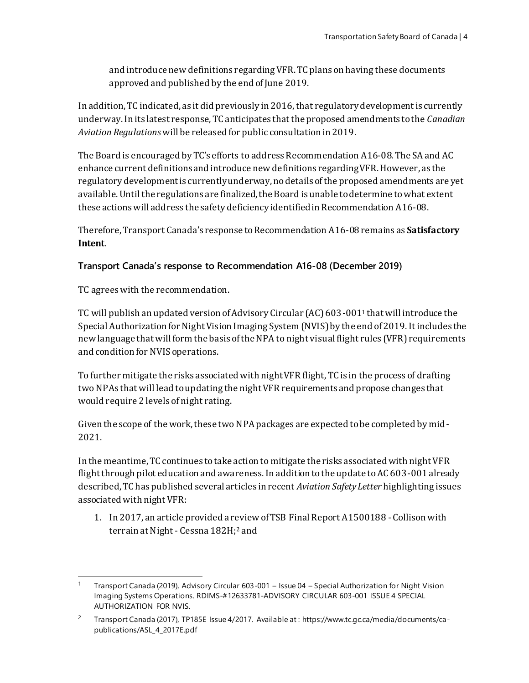and introduce new definitions regarding VFR. TC plans on having these documents approved and published by the end of June 2019.

In addition, TC indicated, as it did previously in 2016, that regulatory development is currently underway. In its latest response, TC anticipates that the proposed amendments to the *Canadian Aviation Regulations*will be released for public consultation in 2019.

The Board is encouraged by TC's efforts to address Recommendation A16-08. The SA and AC enhance current definitions and introduce new definitions regarding VFR. However, as the regulatory development is currently underway, no details of the proposed amendments are yet available. Until the regulations are finalized, the Board is unable to determine to what extent these actions will address the safety deficiency identified in Recommendation A16-08.

Therefore, Transport Canada's response to Recommendation A16-08 remains as **Satisfactory Intent**.

# **Transport Canada's response to Recommendation A16-08 (December 2019)**

TC agrees with the recommendation.

TC will publish an updated version of Advisory Circular (AC) 603-001<sup>1</sup> that will introduce the Special Authorization for Night Vision Imaging System (NVIS) by the end of 2019. It includes the new language that will form the basis of the NPA to night visual flight rules (VFR) requirements and condition for NVIS operations.

To further mitigate the risks associated with night VFR flight, TC is in the process of drafting two NPAs that will lead to updating the night VFR requirements and propose changes that would require 2 levels of night rating.

Given the scope of the work, these two NPA packages are expected to be completed by mid-2021.

In the meantime, TC continues to take action to mitigate the risks associated with night VFR flight through pilot education and awareness. In addition to the update to AC 603-001 already described, TC has published several articles in recent *Aviation Safety Letter* highlighting issues associated with night VFR:

1. In 2017, an article provided a review of TSB Final Report A1500188 - Collison with terrain at Night - Cessna 182H;<sup>2</sup> and

<sup>1</sup> Transport Canada (2019), Advisory Circular 603-001 – Issue 04 – Special Authorization for Night Vision Imaging Systems Operations. RDIMS-#12633781-ADVISORY CIRCULAR 603-001 ISSUE 4 SPECIAL AUTHORIZATION FOR NVIS.

<sup>2</sup> Transport Canada (2017), TP185E Issue 4/2017. Available at : https://www.tc.gc.ca/media/documents/capublications/ASL\_4\_2017E.pdf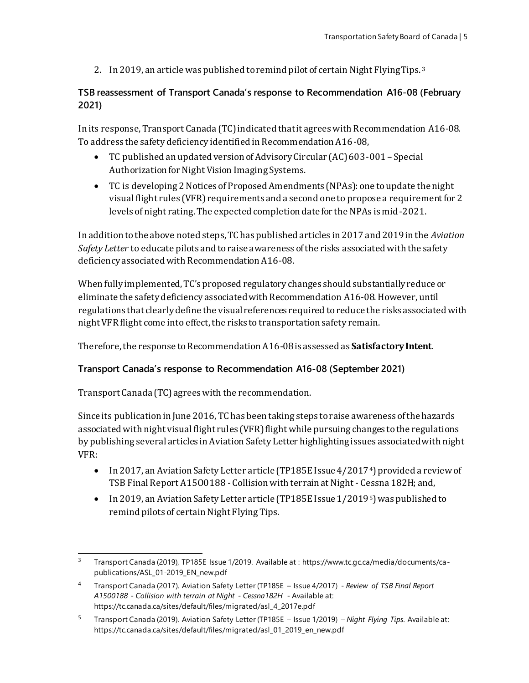2. In 2019, an article was published to remind pilot of certain Night Flying Tips. <sup>3</sup>

# **TSB reassessment of Transport Canada's response to Recommendation A16-08 (February 2021)**

In its response, Transport Canada (TC) indicated that it agrees with Recommendation A16-08. To address the safety deficiency identified in Recommendation A16-08,

- TC published an updated version of Advisory Circular (AC) 603-001 Special Authorization for Night Vision Imaging Systems.
- TC is developing 2 Notices of Proposed Amendments (NPAs): one to update the night visual flight rules (VFR) requirements and a second one to propose a requirement for 2 levels of night rating. The expected completion date for the NPAs is mid-2021.

In addition to the above noted steps, TC has published articles in 2017 and 2019 in the *Aviation Safety Letter* to educate pilots and to raise awareness of the risks associated with the safety deficiency associated with Recommendation A16-08.

When fully implemented, TC's proposed regulatory changes should substantially reduce or eliminate the safety deficiency associated with Recommendation A16-08. However, until regulations that clearly define the visual references required to reduce the risks associated with night VFR flight come into effect, the risks to transportation safety remain.

Therefore, the response to Recommendation A16-08 is assessed as **Satisfactory Intent**.

# **Transport Canada's response to Recommendation A16-08 (September 2021)**

Transport Canada (TC) agrees with the recommendation.

Since its publication in June 2016, TC has been taking steps to raise awareness of the hazards associated with night visual flight rules (VFR) flight while pursuing changes to the regulations by publishing several articles in Aviation Safety Letter highlighting issues associated with night VFR:

- In 2017, an Aviation Safety Letter article (TP185E Issue 4/20174) provided a review of TSB Final Report A15O0188 - Collision with terrain at Night - Cessna 182H; and,
- In 2019, an Aviation Safety Letter article (TP185E Issue 1/2019<sup>5</sup>) was published to remind pilots of certain Night Flying Tips.

<sup>3</sup> Transport Canada (2019), TP185E Issue 1/2019. Available at : https://www.tc.gc.ca/media/documents/capublications/ASL\_01-2019\_EN\_new.pdf

<sup>4</sup> Transport Canada (2017). Aviation Safety Letter (TP185E – Issue 4/2017) - *Review of TSB Final Report A1500188 - Collision with terrain at Night - Cessna182H* - Available at: https://tc.canada.ca/sites/default/files/migrated/asl\_4\_2017e.pdf

<sup>5</sup> Transport Canada (2019). Aviation Safety Letter (TP185E – Issue 1/2019) – *Night Flying Tips*. Available at: https://tc.canada.ca/sites/default/files/migrated/asl\_01\_2019\_en\_new.pdf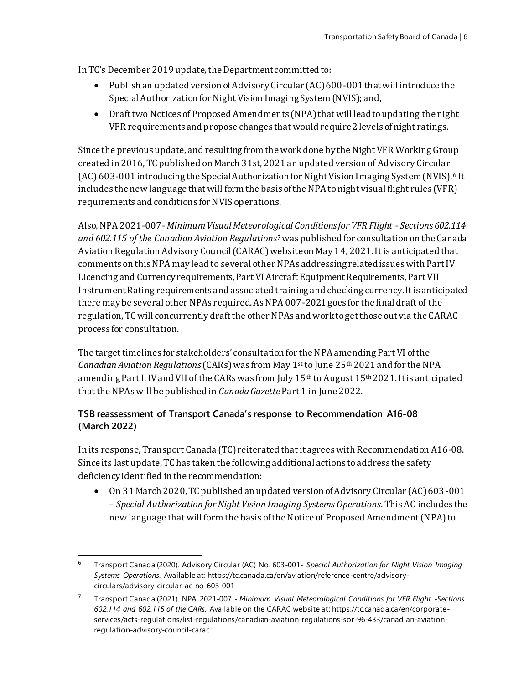In TC's December 2019 update, the Department committed to:

- Publish an updated version of Advisory Circular (AC) 600-001 that will introduce the Special Authorization for Night Vision Imaging System (NVIS); and,
- Draft two Notices of Proposed Amendments (NPA) that will lead to updating the night VFR requirements and propose changes that would require 2 levels of night ratings.

Since the previous update, and resulting from the work done by the Night VFR Working Group created in 2016, TC published on March 31st, 2021 an updated version of Advisory Circular (AC) 603-001 introducing the Special Authorization for Night Vision Imaging System (NVIS). <sup>6</sup> It includes the new language that will form the basis of the NPA to night visual flight rules (VFR) requirements and conditions for NVIS operations.

Also, NPA 2021-007- *Minimum Visual Meteorological Conditions for VFR Flight - Sections 602.114 and 602.115 of the Canadian Aviation Regulations*7was published for consultation on the Canada Aviation Regulation Advisory Council (CARAC) website on May 14, 2021. It is anticipated that comments on this NPA may lead to several other NPAs addressing related issues with Part IV Licencing and Currency requirements, Part VI Aircraft Equipment Requirements, Part VII Instrument Rating requirements and associated training and checking currency. It is anticipated there may be several other NPAs required. As NPA 007-2021 goes for the final draft of the regulation, TC will concurrently draft the other NPAs and work to get those out via the CARAC process for consultation.

The target timelines for stakeholders' consultation for the NPA amending Part VI of the *Canadian Aviation Regulations*(CARs) was from May 1st to June 25th 2021 and for the NPA amending Part I, IV and VII of the CARs was from July  $15<sup>th</sup>$  to August  $15<sup>th</sup> 2021$ . It is anticipated that the NPAs will be published in *Canada Gazette*Part 1 in June 2022.

# **TSB reassessment of Transport Canada's response to Recommendation A16-08 (March 2022)**

In its response, Transport Canada (TC) reiterated that it agrees with Recommendation A16-08. Since its last update, TC has taken the following additional actions to address the safety deficiency identified in the recommendation:

• On 31 March 2020, TC published an updated version of Advisory Circular (AC) 603-001 – *Special Authorization for Night Vision Imaging Systems Operations*. This AC includes the new language that will form the basis of the Notice of Proposed Amendment(NPA) to

<sup>6</sup> Transport Canada (2020). Advisory Circular (AC) No. 603-001- *Special Authorization for Night Vision Imaging Systems Operations*. Available at: https://tc.canada.ca/en/aviation/reference-centre/advisorycirculars/advisory-circular-ac-no-603-001

<sup>7</sup> Transport Canada (2021). NPA 2021-007 - *Minimum Visual Meteorological Conditions for VFR Flight -Sections 602.114 and 602.115 of the CARs*. Available on the CARAC website at: https://tc.canada.ca/en/corporateservices/acts-regulations/list-regulations/canadian-aviation-regulations-sor-96-433/canadian-aviationregulation-advisory-council-carac